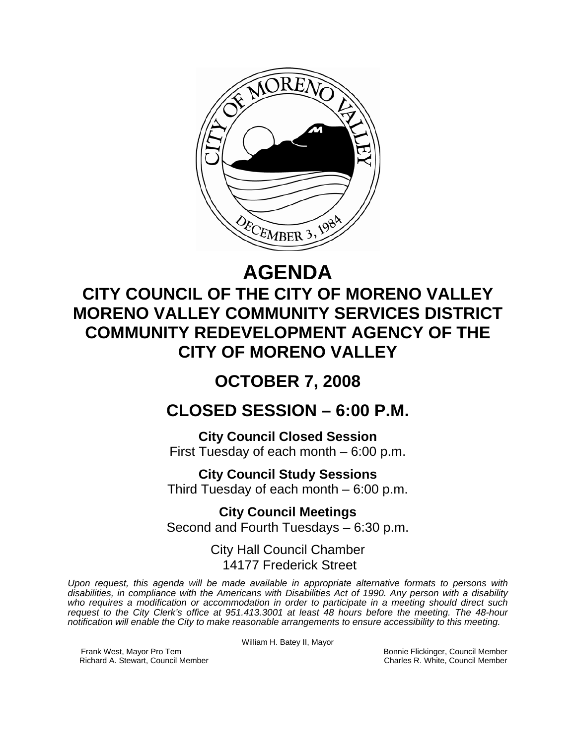

# **AGENDA**

# **CITY COUNCIL OF THE CITY OF MORENO VALLEY MORENO VALLEY COMMUNITY SERVICES DISTRICT COMMUNITY REDEVELOPMENT AGENCY OF THE CITY OF MORENO VALLEY**

# **OCTOBER 7, 2008**

# **CLOSED SESSION – 6:00 P.M.**

**City Council Closed Session**  First Tuesday of each month – 6:00 p.m.

**City Council Study Sessions**  Third Tuesday of each month – 6:00 p.m.

**City Council Meetings**  Second and Fourth Tuesdays – 6:30 p.m.

> City Hall Council Chamber 14177 Frederick Street

*Upon request, this agenda will be made available in appropriate alternative formats to persons with disabilities, in compliance with the Americans with Disabilities Act of 1990. Any person with a disability who requires a modification or accommodation in order to participate in a meeting should direct such request to the City Clerk's office at 951.413.3001 at least 48 hours before the meeting. The 48-hour notification will enable the City to make reasonable arrangements to ensure accessibility to this meeting.* 

William H. Batey II, Mayor

Frank West, Mayor Pro Tem Bonnie Flickinger, Council Member<br>Richard A. Stewart, Council Member **Bonnie Flickinger, Council Member** Charles R. White, Council Member Richard A. Stewart, Council Member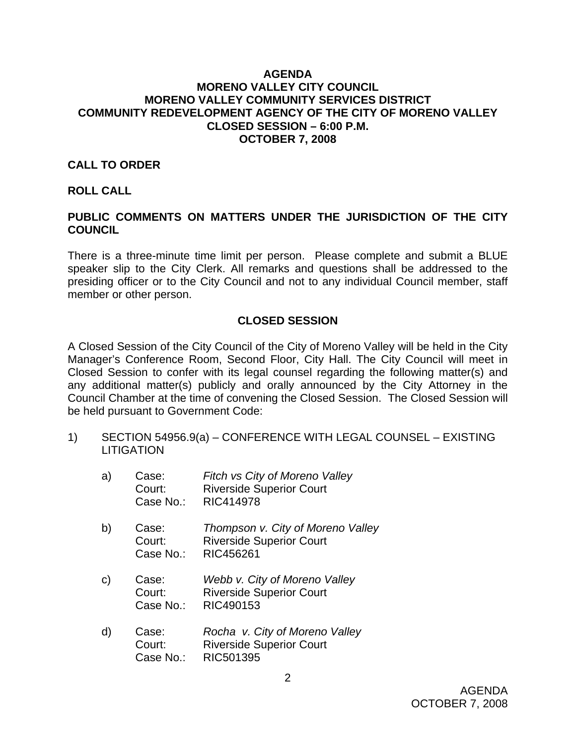#### **AGENDA MORENO VALLEY CITY COUNCIL MORENO VALLEY COMMUNITY SERVICES DISTRICT COMMUNITY REDEVELOPMENT AGENCY OF THE CITY OF MORENO VALLEY CLOSED SESSION – 6:00 P.M. OCTOBER 7, 2008**

### **CALL TO ORDER**

#### **ROLL CALL**

## **PUBLIC COMMENTS ON MATTERS UNDER THE JURISDICTION OF THE CITY COUNCIL**

There is a three-minute time limit per person. Please complete and submit a BLUE speaker slip to the City Clerk. All remarks and questions shall be addressed to the presiding officer or to the City Council and not to any individual Council member, staff member or other person.

### **CLOSED SESSION**

A Closed Session of the City Council of the City of Moreno Valley will be held in the City Manager's Conference Room, Second Floor, City Hall. The City Council will meet in Closed Session to confer with its legal counsel regarding the following matter(s) and any additional matter(s) publicly and orally announced by the City Attorney in the Council Chamber at the time of convening the Closed Session. The Closed Session will be held pursuant to Government Code:

- 1) SECTION 54956.9(a) CONFERENCE WITH LEGAL COUNSEL EXISTING **LITIGATION** 
	- a) Case: *Fitch vs City of Moreno Valley* Court: Riverside Superior Court Case No.: RIC414978 b) Case: *Thompson v. City of Moreno Valley*  Court: Riverside Superior Court Case No.: RIC456261 c) Case: *Webb v. City of Moreno Valley*  Court: Riverside Superior Court Case No.: RIC490153 d) Case: *Rocha v. City of Moreno Valley*
	- Court: Riverside Superior Court Case No.: RIC501395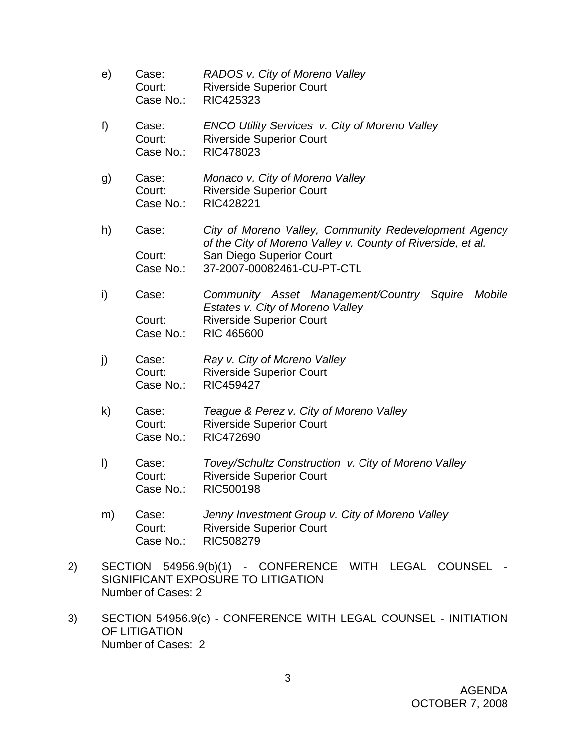- e) Case: *RADOS v. City of Moreno Valley*  Court: Riverside Superior Court Case No.: RIC425323 f) Case: *ENCO Utility Services v. City of Moreno Valley*  Court: Riverside Superior Court Case No.: RIC478023 g) Case: *Monaco v. City of Moreno Valley*  Court: Riverside Superior Court Case No.: RIC428221 h) Case: *City of Moreno Valley, Community Redevelopment Agency of the City of Moreno Valley v. County of Riverside, et al.*  Court: San Diego Superior Court Case No.: 37-2007-00082461-CU-PT-CTL i) Case: *Community Asset Management/Country Squire Mobile Estates v. City of Moreno Valley*  Court: Riverside Superior Court Case No.: RIC 465600 j) Case: *Ray v. City of Moreno Valley*  Court: Riverside Superior Court Case No.: RIC459427 k) Case: *Teague & Perez v. City of Moreno Valley*  Court: Riverside Superior Court Case No.: RIC472690 l) Case: *Tovey/Schultz Construction v. City of Moreno Valley* Court: Riverside Superior Court Case No.: RIC500198
- m) Case: *Jenny Investment Group v. City of Moreno Valley* Court: Riverside Superior Court Case No.: RIC508279
- 2) SECTION 54956.9(b)(1) CONFERENCE WITH LEGAL COUNSEL SIGNIFICANT EXPOSURE TO LITIGATION Number of Cases: 2
- 3) SECTION 54956.9(c) CONFERENCE WITH LEGAL COUNSEL INITIATION OF LITIGATION Number of Cases: 2